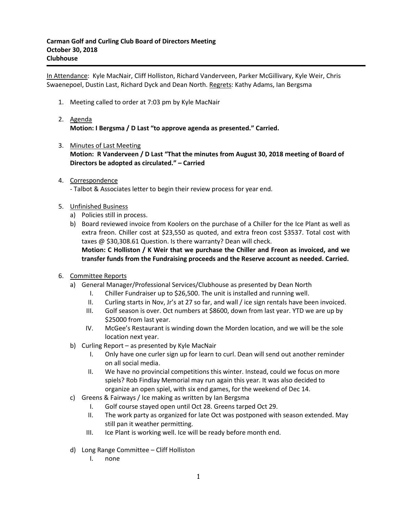In Attendance: Kyle MacNair, Cliff Holliston, Richard Vanderveen, Parker McGillivary, Kyle Weir, Chris Swaenepoel, Dustin Last, Richard Dyck and Dean North. Regrets: Kathy Adams, Ian Bergsma

- 1. Meeting called to order at 7:03 pm by Kyle MacNair
- 2. Agenda **Motion: I Bergsma / D Last "to approve agenda as presented." Carried.**
- 3. Minutes of Last Meeting **Motion: R Vanderveen / D Last "That the minutes from August 30, 2018 meeting of Board of Directors be adopted as circulated." – Carried**
- 4. Correspondence - Talbot & Associates letter to begin their review process for year end.
- 5. Unfinished Business
	- a) Policies still in process.
	- b) Board reviewed invoice from Koolers on the purchase of a Chiller for the Ice Plant as well as extra freon. Chiller cost at \$23,550 as quoted, and extra freon cost \$3537. Total cost with taxes @ \$30,308.61 Question. Is there warranty? Dean will check.

**Motion: C Holliston / K Weir that we purchase the Chiller and Freon as invoiced, and we transfer funds from the Fundraising proceeds and the Reserve account as needed. Carried.**

- 6. Committee Reports
	- a) General Manager/Professional Services/Clubhouse as presented by Dean North
		- I. Chiller Fundraiser up to \$26,500. The unit is installed and running well.
		- II. Curling starts in Nov, Jr's at 27 so far, and wall / ice sign rentals have been invoiced.
		- III. Golf season is over. Oct numbers at \$8600, down from last year. YTD we are up by \$25000 from last year.
		- IV. McGee's Restaurant is winding down the Morden location, and we will be the sole location next year.
	- b) Curling Report as presented by Kyle MacNair
		- I. Only have one curler sign up for learn to curl. Dean will send out another reminder on all social media.
		- II. We have no provincial competitions this winter. Instead, could we focus on more spiels? Rob Findlay Memorial may run again this year. It was also decided to organize an open spiel, with six end games, for the weekend of Dec 14.
	- c) Greens & Fairways / Ice making as written by Ian Bergsma
		- I. Golf course stayed open until Oct 28. Greens tarped Oct 29.
		- II. The work party as organized for late Oct was postponed with season extended. May still pan it weather permitting.
		- III. Ice Plant is working well. Ice will be ready before month end.
	- d) Long Range Committee Cliff Holliston
		- I. none